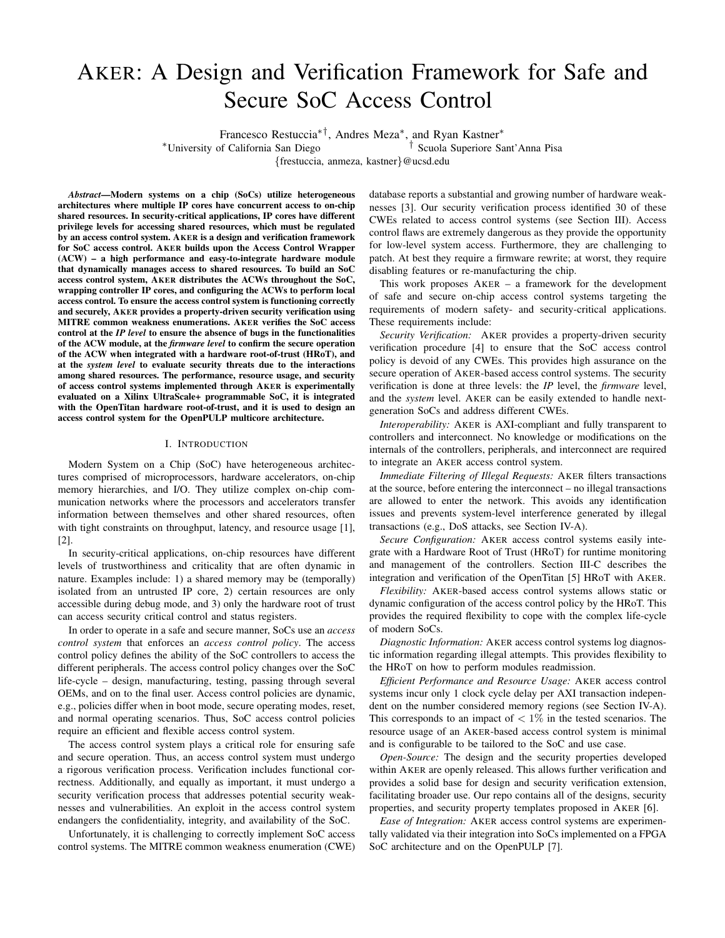# AKER: A Design and Verification Framework for Safe and Secure SoC Access Control

Francesco Restuccia∗†, Andres Meza<sup>∗</sup> , and Ryan Kastner<sup>∗</sup>

<sup>∗</sup>University of California San Diego † <sup>†</sup> Scuola Superiore Sant'Anna Pisa

{frestuccia, anmeza, kastner}@ucsd.edu

*Abstract*—Modern systems on a chip (SoCs) utilize heterogeneous architectures where multiple IP cores have concurrent access to on-chip shared resources. In security-critical applications, IP cores have different privilege levels for accessing shared resources, which must be regulated by an access control system. AKER is a design and verification framework for SoC access control. AKER builds upon the Access Control Wrapper (ACW) – a high performance and easy-to-integrate hardware module that dynamically manages access to shared resources. To build an SoC access control system, AKER distributes the ACWs throughout the SoC, wrapping controller IP cores, and configuring the ACWs to perform local access control. To ensure the access control system is functioning correctly and securely, AKER provides a property-driven security verification using MITRE common weakness enumerations. AKER verifies the SoC access control at the *IP level* to ensure the absence of bugs in the functionalities of the ACW module, at the *firmware level* to confirm the secure operation of the ACW when integrated with a hardware root-of-trust (HRoT), and at the *system level* to evaluate security threats due to the interactions among shared resources. The performance, resource usage, and security of access control systems implemented through AKER is experimentally evaluated on a Xilinx UltraScale+ programmable SoC, it is integrated with the OpenTitan hardware root-of-trust, and it is used to design an access control system for the OpenPULP multicore architecture.

## I. INTRODUCTION

Modern System on a Chip (SoC) have heterogeneous architectures comprised of microprocessors, hardware accelerators, on-chip memory hierarchies, and I/O. They utilize complex on-chip communication networks where the processors and accelerators transfer information between themselves and other shared resources, often with tight constraints on throughput, latency, and resource usage [1], [2].

In security-critical applications, on-chip resources have different levels of trustworthiness and criticality that are often dynamic in nature. Examples include: 1) a shared memory may be (temporally) isolated from an untrusted IP core, 2) certain resources are only accessible during debug mode, and 3) only the hardware root of trust can access security critical control and status registers.

In order to operate in a safe and secure manner, SoCs use an *access control system* that enforces an *access control policy*. The access control policy defines the ability of the SoC controllers to access the different peripherals. The access control policy changes over the SoC life-cycle – design, manufacturing, testing, passing through several OEMs, and on to the final user. Access control policies are dynamic, e.g., policies differ when in boot mode, secure operating modes, reset, and normal operating scenarios. Thus, SoC access control policies require an efficient and flexible access control system.

The access control system plays a critical role for ensuring safe and secure operation. Thus, an access control system must undergo a rigorous verification process. Verification includes functional correctness. Additionally, and equally as important, it must undergo a security verification process that addresses potential security weaknesses and vulnerabilities. An exploit in the access control system endangers the confidentiality, integrity, and availability of the SoC.

Unfortunately, it is challenging to correctly implement SoC access control systems. The MITRE common weakness enumeration (CWE) database reports a substantial and growing number of hardware weaknesses [3]. Our security verification process identified 30 of these CWEs related to access control systems (see Section III). Access control flaws are extremely dangerous as they provide the opportunity for low-level system access. Furthermore, they are challenging to patch. At best they require a firmware rewrite; at worst, they require disabling features or re-manufacturing the chip.

This work proposes AKER – a framework for the development of safe and secure on-chip access control systems targeting the requirements of modern safety- and security-critical applications. These requirements include:

*Security Verification:* AKER provides a property-driven security verification procedure [4] to ensure that the SoC access control policy is devoid of any CWEs. This provides high assurance on the secure operation of AKER-based access control systems. The security verification is done at three levels: the *IP* level, the *firmware* level, and the *system* level. AKER can be easily extended to handle nextgeneration SoCs and address different CWEs.

*Interoperability:* AKER is AXI-compliant and fully transparent to controllers and interconnect. No knowledge or modifications on the internals of the controllers, peripherals, and interconnect are required to integrate an AKER access control system.

*Immediate Filtering of Illegal Requests:* AKER filters transactions at the source, before entering the interconnect – no illegal transactions are allowed to enter the network. This avoids any identification issues and prevents system-level interference generated by illegal transactions (e.g., DoS attacks, see Section IV-A).

*Secure Configuration:* AKER access control systems easily integrate with a Hardware Root of Trust (HRoT) for runtime monitoring and management of the controllers. Section III-C describes the integration and verification of the OpenTitan [5] HRoT with AKER.

*Flexibility:* AKER-based access control systems allows static or dynamic configuration of the access control policy by the HRoT. This provides the required flexibility to cope with the complex life-cycle of modern SoCs.

*Diagnostic Information:* AKER access control systems log diagnostic information regarding illegal attempts. This provides flexibility to the HRoT on how to perform modules readmission.

*Efficient Performance and Resource Usage:* AKER access control systems incur only 1 clock cycle delay per AXI transaction independent on the number considered memory regions (see Section IV-A). This corresponds to an impact of  $\langle 1 \rangle$  in the tested scenarios. The resource usage of an AKER-based access control system is minimal and is configurable to be tailored to the SoC and use case.

*Open-Source:* The design and the security properties developed within AKER are openly released. This allows further verification and provides a solid base for design and security verification extension, facilitating broader use. Our repo contains all of the designs, security properties, and security property templates proposed in AKER [6].

*Ease of Integration:* AKER access control systems are experimentally validated via their integration into SoCs implemented on a FPGA SoC architecture and on the OpenPULP [7].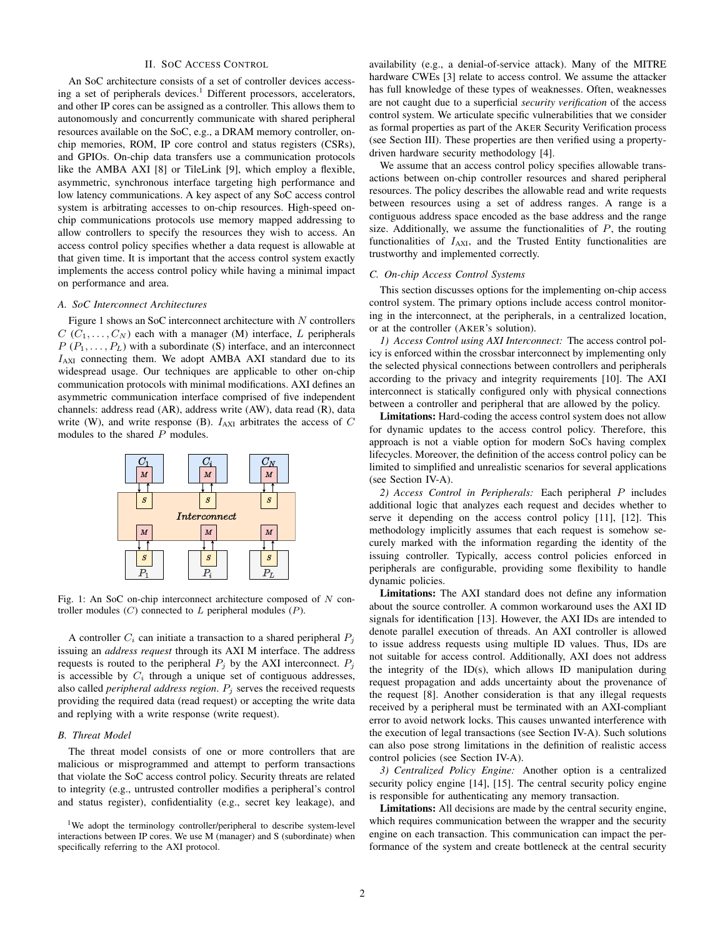# II. SOC ACCESS CONTROL

An SoC architecture consists of a set of controller devices accessing a set of peripherals devices.<sup>1</sup> Different processors, accelerators, and other IP cores can be assigned as a controller. This allows them to autonomously and concurrently communicate with shared peripheral resources available on the SoC, e.g., a DRAM memory controller, onchip memories, ROM, IP core control and status registers (CSRs), and GPIOs. On-chip data transfers use a communication protocols like the AMBA AXI [8] or TileLink [9], which employ a flexible, asymmetric, synchronous interface targeting high performance and low latency communications. A key aspect of any SoC access control system is arbitrating accesses to on-chip resources. High-speed onchip communications protocols use memory mapped addressing to allow controllers to specify the resources they wish to access. An access control policy specifies whether a data request is allowable at that given time. It is important that the access control system exactly implements the access control policy while having a minimal impact on performance and area.

#### *A. SoC Interconnect Architectures*

Figure 1 shows an SoC interconnect architecture with N controllers  $C(C_1, \ldots, C_N)$  each with a manager (M) interface, L peripherals  $P(P_1, \ldots, P_L)$  with a subordinate (S) interface, and an interconnect  $I_{\text{AXI}}$  connecting them. We adopt AMBA AXI standard due to its widespread usage. Our techniques are applicable to other on-chip communication protocols with minimal modifications. AXI defines an asymmetric communication interface comprised of five independent channels: address read (AR), address write (AW), data read (R), data write (W), and write response (B).  $I_{AXI}$  arbitrates the access of  $C$ modules to the shared P modules.



Fig. 1: An SoC on-chip interconnect architecture composed of N controller modules  $(C)$  connected to  $L$  peripheral modules  $(P)$ .

A controller  $C_i$  can initiate a transaction to a shared peripheral  $P_i$ issuing an *address request* through its AXI M interface. The address requests is routed to the peripheral  $P_i$  by the AXI interconnect.  $P_i$ is accessible by  $C_i$  through a unique set of contiguous addresses, also called *peripheral address region*.  $P_i$  serves the received requests providing the required data (read request) or accepting the write data and replying with a write response (write request).

# *B. Threat Model*

The threat model consists of one or more controllers that are malicious or misprogrammed and attempt to perform transactions that violate the SoC access control policy. Security threats are related to integrity (e.g., untrusted controller modifies a peripheral's control and status register), confidentiality (e.g., secret key leakage), and

<sup>1</sup>We adopt the terminology controller/peripheral to describe system-level interactions between IP cores. We use M (manager) and S (subordinate) when specifically referring to the AXI protocol.

availability (e.g., a denial-of-service attack). Many of the MITRE hardware CWEs [3] relate to access control. We assume the attacker has full knowledge of these types of weaknesses. Often, weaknesses are not caught due to a superficial *security verification* of the access control system. We articulate specific vulnerabilities that we consider as formal properties as part of the AKER Security Verification process (see Section III). These properties are then verified using a propertydriven hardware security methodology [4].

We assume that an access control policy specifies allowable transactions between on-chip controller resources and shared peripheral resources. The policy describes the allowable read and write requests between resources using a set of address ranges. A range is a contiguous address space encoded as the base address and the range size. Additionally, we assume the functionalities of  $P$ , the routing functionalities of  $I_{AXI}$ , and the Trusted Entity functionalities are trustworthy and implemented correctly.

# *C. On-chip Access Control Systems*

This section discusses options for the implementing on-chip access control system. The primary options include access control monitoring in the interconnect, at the peripherals, in a centralized location, or at the controller (AKER's solution).

*1) Access Control using AXI Interconnect:* The access control policy is enforced within the crossbar interconnect by implementing only the selected physical connections between controllers and peripherals according to the privacy and integrity requirements [10]. The AXI interconnect is statically configured only with physical connections between a controller and peripheral that are allowed by the policy.

Limitations: Hard-coding the access control system does not allow for dynamic updates to the access control policy. Therefore, this approach is not a viable option for modern SoCs having complex lifecycles. Moreover, the definition of the access control policy can be limited to simplified and unrealistic scenarios for several applications (see Section IV-A).

*2) Access Control in Peripherals:* Each peripheral P includes additional logic that analyzes each request and decides whether to serve it depending on the access control policy [11], [12]. This methodology implicitly assumes that each request is somehow securely marked with the information regarding the identity of the issuing controller. Typically, access control policies enforced in peripherals are configurable, providing some flexibility to handle dynamic policies.

Limitations: The AXI standard does not define any information about the source controller. A common workaround uses the AXI ID signals for identification [13]. However, the AXI IDs are intended to denote parallel execution of threads. An AXI controller is allowed to issue address requests using multiple ID values. Thus, IDs are not suitable for access control. Additionally, AXI does not address the integrity of the ID(s), which allows ID manipulation during request propagation and adds uncertainty about the provenance of the request [8]. Another consideration is that any illegal requests received by a peripheral must be terminated with an AXI-compliant error to avoid network locks. This causes unwanted interference with the execution of legal transactions (see Section IV-A). Such solutions can also pose strong limitations in the definition of realistic access control policies (see Section IV-A).

*3) Centralized Policy Engine:* Another option is a centralized security policy engine [14], [15]. The central security policy engine is responsible for authenticating any memory transaction.

Limitations: All decisions are made by the central security engine, which requires communication between the wrapper and the security engine on each transaction. This communication can impact the performance of the system and create bottleneck at the central security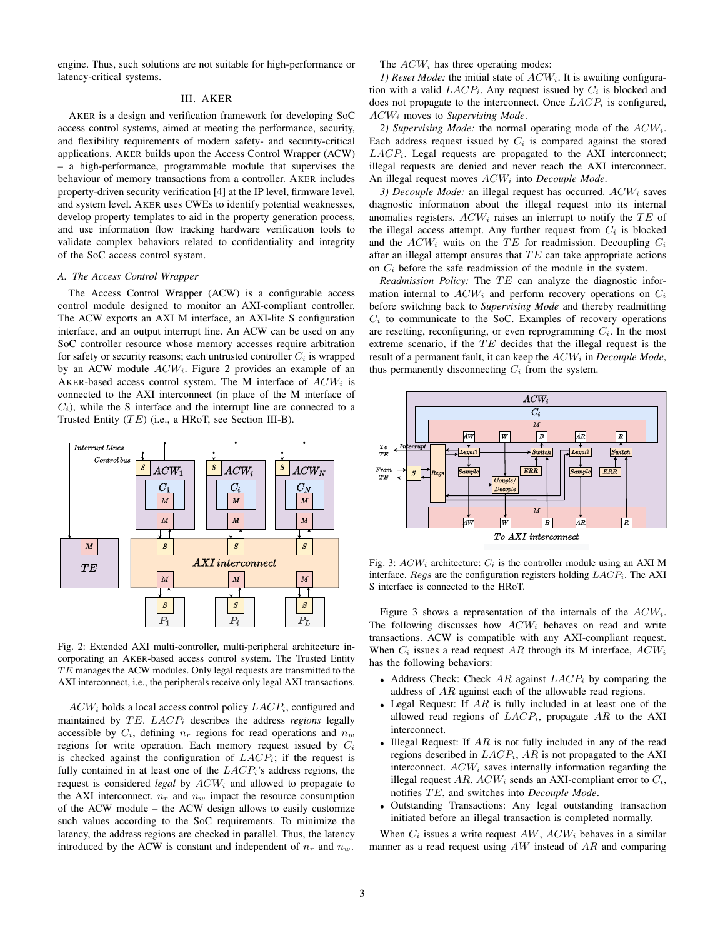engine. Thus, such solutions are not suitable for high-performance or latency-critical systems.

#### III. AKER

AKER is a design and verification framework for developing SoC access control systems, aimed at meeting the performance, security, and flexibility requirements of modern safety- and security-critical applications. AKER builds upon the Access Control Wrapper (ACW) – a high-performance, programmable module that supervises the behaviour of memory transactions from a controller. AKER includes property-driven security verification [4] at the IP level, firmware level, and system level. AKER uses CWEs to identify potential weaknesses, develop property templates to aid in the property generation process, and use information flow tracking hardware verification tools to validate complex behaviors related to confidentiality and integrity of the SoC access control system.

#### *A. The Access Control Wrapper*

The Access Control Wrapper (ACW) is a configurable access control module designed to monitor an AXI-compliant controller. The ACW exports an AXI M interface, an AXI-lite S configuration interface, and an output interrupt line. An ACW can be used on any SoC controller resource whose memory accesses require arbitration for safety or security reasons; each untrusted controller  $C_i$  is wrapped by an ACW module  $ACW_i$ . Figure 2 provides an example of an AKER-based access control system. The M interface of  $ACW_i$  is connected to the AXI interconnect (in place of the M interface of  $C_i$ ), while the S interface and the interrupt line are connected to a Trusted Entity  $(TE)$  (i.e., a HRoT, see Section III-B).



Fig. 2: Extended AXI multi-controller, multi-peripheral architecture incorporating an AKER-based access control system. The Trusted Entity  $TE$  manages the ACW modules. Only legal requests are transmitted to the AXI interconnect, i.e., the peripherals receive only legal AXI transactions.

 $ACW_i$  holds a local access control policy  $LACP_i$ , configured and maintained by  $TE$ .  $LACP_i$  describes the address *regions* legally accessible by  $C_i$ , defining  $n_r$  regions for read operations and  $n_w$ regions for write operation. Each memory request issued by  $C_i$ is checked against the configuration of  $LACP_i$ ; if the request is fully contained in at least one of the  $LACP_i$ 's address regions, the request is considered *legal* by  $ACW_i$  and allowed to propagate to the AXI interconnect.  $n_r$  and  $n_w$  impact the resource consumption of the ACW module – the ACW design allows to easily customize such values according to the SoC requirements. To minimize the latency, the address regions are checked in parallel. Thus, the latency introduced by the ACW is constant and independent of  $n_r$  and  $n_w$ .

The  $ACW_i$  has three operating modes:

*1) Reset Mode:* the initial state of  $ACW_i$ . It is awaiting configuration with a valid  $LACP_i$ . Any request issued by  $C_i$  is blocked and does not propagate to the interconnect. Once  $LACP_i$  is configured, ACW<sup>i</sup> moves to *Supervising Mode*.

*2) Supervising Mode:* the normal operating mode of the ACWi. Each address request issued by  $C_i$  is compared against the stored  $LACP_i$ . Legal requests are propagated to the AXI interconnect; illegal requests are denied and never reach the AXI interconnect. An illegal request moves  $ACW_i$  into *Decouple Mode*.

 $3)$  *Decouple Mode:* an illegal request has occurred.  $ACW_i$  saves diagnostic information about the illegal request into its internal anomalies registers.  $ACW_i$  raises an interrupt to notify the TE of the illegal access attempt. Any further request from  $C_i$  is blocked and the  $ACW_i$  waits on the TE for readmission. Decoupling  $C_i$ after an illegal attempt ensures that  $TE$  can take appropriate actions on  $C_i$  before the safe readmission of the module in the system.

*Readmission Policy:* The TE can analyze the diagnostic information internal to  $ACW_i$  and perform recovery operations on  $C_i$ before switching back to *Supervising Mode* and thereby readmitting  $C_i$  to communicate to the SoC. Examples of recovery operations are resetting, reconfiguring, or even reprogramming  $C_i$ . In the most extreme scenario, if the  $TE$  decides that the illegal request is the result of a permanent fault, it can keep the  $ACW_i$  in *Decouple Mode*, thus permanently disconnecting  $C_i$  from the system.



Fig. 3:  $ACW_i$  architecture:  $C_i$  is the controller module using an AXI M interface. Regs are the configuration registers holding  $LACP_i$ . The AXI S interface is connected to the HRoT.

Figure 3 shows a representation of the internals of the  $ACW_i$ . The following discusses how  $ACW_i$  behaves on read and write transactions. ACW is compatible with any AXI-compliant request. When  $C_i$  issues a read request AR through its M interface,  $ACW_i$ has the following behaviors:

- Address Check: Check  $AR$  against  $LACP_i$  by comparing the address of AR against each of the allowable read regions.
- Legal Request: If  $AR$  is fully included in at least one of the allowed read regions of  $LACP_i$ , propagate  $AR$  to the AXI interconnect.
- Illegal Request: If  $AR$  is not fully included in any of the read regions described in  $LACP_i$ ,  $AR$  is not propagated to the AXI interconnect.  $ACW_i$  saves internally information regarding the illegal request AR.  $ACW_i$  sends an AXI-compliant error to  $C_i$ , notifies TE, and switches into *Decouple Mode*.
- Outstanding Transactions: Any legal outstanding transaction initiated before an illegal transaction is completed normally.

When  $C_i$  issues a write request AW,  $ACW_i$  behaves in a similar manner as a read request using  $AW$  instead of  $AR$  and comparing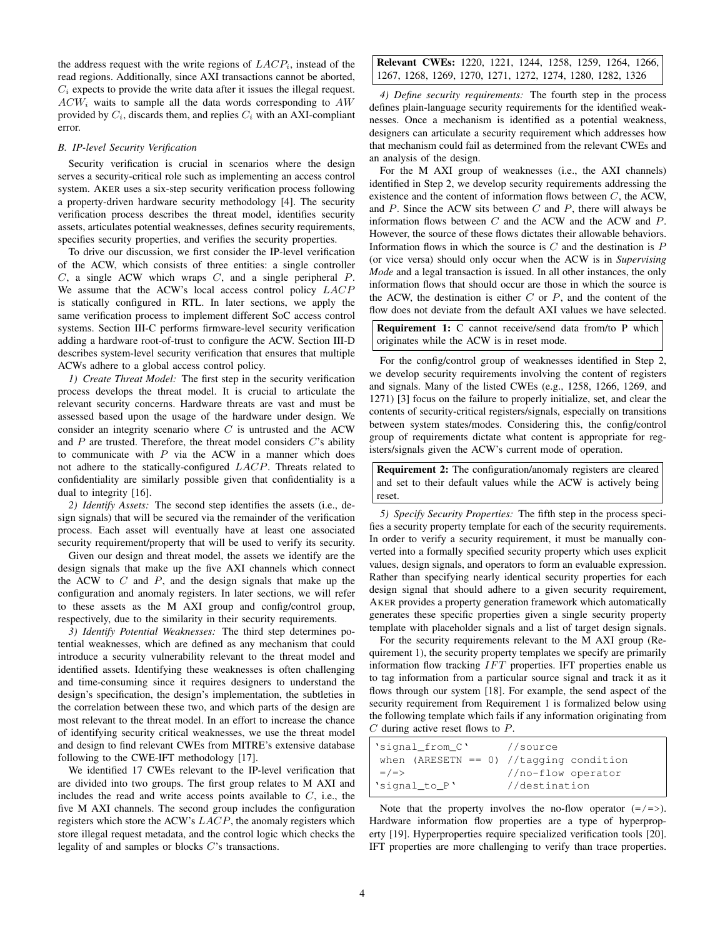the address request with the write regions of  $LACP_i$ , instead of the read regions. Additionally, since AXI transactions cannot be aborted,  $C_i$  expects to provide the write data after it issues the illegal request.  $ACW_i$  waits to sample all the data words corresponding to  $AW$ provided by  $C_i$ , discards them, and replies  $C_i$  with an AXI-compliant error.

## *B. IP-level Security Verification*

Security verification is crucial in scenarios where the design serves a security-critical role such as implementing an access control system. AKER uses a six-step security verification process following a property-driven hardware security methodology [4]. The security verification process describes the threat model, identifies security assets, articulates potential weaknesses, defines security requirements, specifies security properties, and verifies the security properties.

To drive our discussion, we first consider the IP-level verification of the ACW, which consists of three entities: a single controller  $C$ , a single ACW which wraps  $C$ , and a single peripheral  $P$ . We assume that the ACW's local access control policy  $LACP$ is statically configured in RTL. In later sections, we apply the same verification process to implement different SoC access control systems. Section III-C performs firmware-level security verification adding a hardware root-of-trust to configure the ACW. Section III-D describes system-level security verification that ensures that multiple ACWs adhere to a global access control policy.

*1) Create Threat Model:* The first step in the security verification process develops the threat model. It is crucial to articulate the relevant security concerns. Hardware threats are vast and must be assessed based upon the usage of the hardware under design. We consider an integrity scenario where  $C$  is untrusted and the ACW and  $P$  are trusted. Therefore, the threat model considers  $C$ 's ability to communicate with  $P$  via the ACW in a manner which does not adhere to the statically-configured LACP. Threats related to confidentiality are similarly possible given that confidentiality is a dual to integrity [16].

*2) Identify Assets:* The second step identifies the assets (i.e., design signals) that will be secured via the remainder of the verification process. Each asset will eventually have at least one associated security requirement/property that will be used to verify its security.

Given our design and threat model, the assets we identify are the design signals that make up the five AXI channels which connect the ACW to  $C$  and  $P$ , and the design signals that make up the configuration and anomaly registers. In later sections, we will refer to these assets as the M AXI group and config/control group, respectively, due to the similarity in their security requirements.

*3) Identify Potential Weaknesses:* The third step determines potential weaknesses, which are defined as any mechanism that could introduce a security vulnerability relevant to the threat model and identified assets. Identifying these weaknesses is often challenging and time-consuming since it requires designers to understand the design's specification, the design's implementation, the subtleties in the correlation between these two, and which parts of the design are most relevant to the threat model. In an effort to increase the chance of identifying security critical weaknesses, we use the threat model and design to find relevant CWEs from MITRE's extensive database following to the CWE-IFT methodology [17].

We identified 17 CWEs relevant to the IP-level verification that are divided into two groups. The first group relates to M AXI and includes the read and write access points available to  $C$ , i.e., the five M AXI channels. The second group includes the configuration registers which store the ACW's LACP, the anomaly registers which store illegal request metadata, and the control logic which checks the legality of and samples or blocks C's transactions.

# Relevant CWEs: 1220, 1221, 1244, 1258, 1259, 1264, 1266, 1267, 1268, 1269, 1270, 1271, 1272, 1274, 1280, 1282, 1326

*4) Define security requirements:* The fourth step in the process defines plain-language security requirements for the identified weaknesses. Once a mechanism is identified as a potential weakness, designers can articulate a security requirement which addresses how that mechanism could fail as determined from the relevant CWEs and an analysis of the design.

For the M AXI group of weaknesses (i.e., the AXI channels) identified in Step 2, we develop security requirements addressing the existence and the content of information flows between C, the ACW, and  $P$ . Since the ACW sits between  $C$  and  $P$ , there will always be information flows between  $C$  and the ACW and the ACW and  $P$ . However, the source of these flows dictates their allowable behaviors. Information flows in which the source is  $C$  and the destination is  $P$ (or vice versa) should only occur when the ACW is in *Supervising Mode* and a legal transaction is issued. In all other instances, the only information flows that should occur are those in which the source is the ACW, the destination is either  $C$  or  $P$ , and the content of the flow does not deviate from the default AXI values we have selected.

Requirement 1: C cannot receive/send data from/to P which originates while the ACW is in reset mode.

For the config/control group of weaknesses identified in Step 2, we develop security requirements involving the content of registers and signals. Many of the listed CWEs (e.g., 1258, 1266, 1269, and 1271) [3] focus on the failure to properly initialize, set, and clear the contents of security-critical registers/signals, especially on transitions between system states/modes. Considering this, the config/control group of requirements dictate what content is appropriate for registers/signals given the ACW's current mode of operation.

Requirement 2: The configuration/anomaly registers are cleared and set to their default values while the ACW is actively being reset.

*5) Specify Security Properties:* The fifth step in the process specifies a security property template for each of the security requirements. In order to verify a security requirement, it must be manually converted into a formally specified security property which uses explicit values, design signals, and operators to form an evaluable expression. Rather than specifying nearly identical security properties for each design signal that should adhere to a given security requirement, AKER provides a property generation framework which automatically generates these specific properties given a single security property template with placeholder signals and a list of target design signals.

For the security requirements relevant to the M AXI group (Requirement 1), the security property templates we specify are primarily information flow tracking  $IFT$  properties. IFT properties enable us to tag information from a particular source signal and track it as it flows through our system [18]. For example, the send aspect of the security requirement from Requirement 1 is formalized below using the following template which fails if any information originating from  $C$  during active reset flows to  $P$ .

| 'signal_from_C' | //source                                   |
|-----------------|--------------------------------------------|
|                 | when (ARESETN == $0$ ) //tagging condition |
| $=$ / $=$ >     | //no-flow operator                         |
| 'signal_to_P'   | //destination                              |

Note that the property involves the no-flow operator  $(=\rangle =$ ). Hardware information flow properties are a type of hyperproperty [19]. Hyperproperties require specialized verification tools [20]. IFT properties are more challenging to verify than trace properties.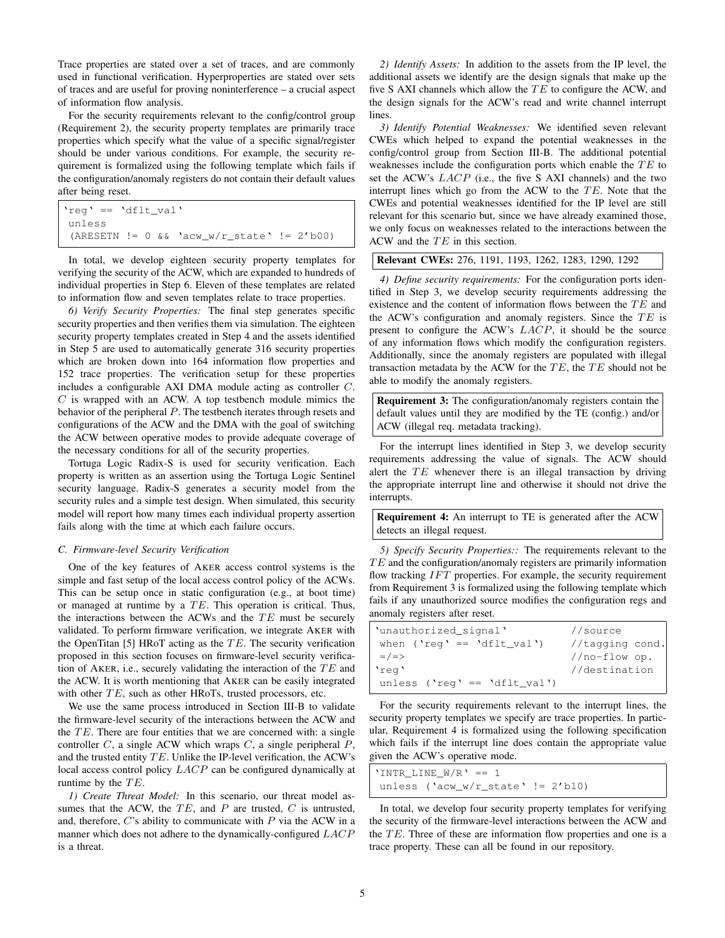Trace properties are stated over a set of traces, and are commonly used in functional verification. Hyperproperties are stated over sets of traces and are useful for proving noninterference – a crucial aspect of information flow analysis.

For the security requirements relevant to the config/control group (Requirement 2), the security property templates are primarily trace properties which specify what the value of a specific signal/register should be under various conditions. For example, the security requirement is formalized using the following template which fails if the configuration/anomaly registers do not contain their default values after being reset.

| 'req' == 'dflt val' |                                                     |  |
|---------------------|-----------------------------------------------------|--|
| unless              |                                                     |  |
|                     | $(ARESETN := 0 & 0 & 0.200 - w/r_state' := 2' b00)$ |  |

In total, we develop eighteen security property templates for verifying the security of the ACW, which are expanded to hundreds of individual properties in Step 6. Eleven of these templates are related to information flow and seven templates relate to trace properties.

*6) Verify Security Properties:* The final step generates specific security properties and then verifies them via simulation. The eighteen security property templates created in Step 4 and the assets identified in Step 5 are used to automatically generate 316 security properties which are broken down into 164 information flow properties and 152 trace properties. The verification setup for these properties includes a configurable AXI DMA module acting as controller C.  $C$  is wrapped with an ACW. A top testbench module mimics the behavior of the peripheral P. The testbench iterates through resets and configurations of the ACW and the DMA with the goal of switching the ACW between operative modes to provide adequate coverage of the necessary conditions for all of the security properties.

Tortuga Logic Radix-S is used for security verification. Each property is written as an assertion using the Tortuga Logic Sentinel security language. Radix-S generates a security model from the security rules and a simple test design. When simulated, this security model will report how many times each individual property assertion fails along with the time at which each failure occurs.

## *C. Firmware-level Security Verification*

One of the key features of AKER access control systems is the simple and fast setup of the local access control policy of the ACWs. This can be setup once in static configuration (e.g., at boot time) or managed at runtime by a  $TE$ . This operation is critical. Thus, the interactions between the ACWs and the  $TE$  must be securely validated. To perform firmware verification, we integrate AKER with the OpenTitan [5] HRoT acting as the  $TE$ . The security verification proposed in this section focuses on firmware-level security verification of AKER, i.e., securely validating the interaction of the  $TE$  and the ACW. It is worth mentioning that AKER can be easily integrated with other  $TE$ , such as other HRoTs, trusted processors, etc.

We use the same process introduced in Section III-B to validate the firmware-level security of the interactions between the ACW and the  $TE$ . There are four entities that we are concerned with: a single controller  $C$ , a single ACW which wraps  $C$ , a single peripheral  $P$ , and the trusted entity  $TE$ . Unlike the IP-level verification, the ACW's local access control policy LACP can be configured dynamically at runtime by the  $TE$ .

*1) Create Threat Model:* In this scenario, our threat model assumes that the ACW, the  $TE$ , and  $P$  are trusted,  $C$  is untrusted, and, therefore,  $C$ 's ability to communicate with  $P$  via the ACW in a manner which does not adhere to the dynamically-configured LACP is a threat.

*2) Identify Assets:* In addition to the assets from the IP level, the additional assets we identify are the design signals that make up the five S AXI channels which allow the  $TE$  to configure the ACW, and the design signals for the ACW's read and write channel interrupt lines.

*3) Identify Potential Weaknesses:* We identified seven relevant CWEs which helped to expand the potential weaknesses in the config/control group from Section III-B. The additional potential weaknesses include the configuration ports which enable the  $TE$  to set the ACW's LACP (i.e., the five S AXI channels) and the two interrupt lines which go from the ACW to the  $TE$ . Note that the CWEs and potential weaknesses identified for the IP level are still relevant for this scenario but, since we have already examined those, we only focus on weaknesses related to the interactions between the ACW and the  $TE$  in this section.

# Relevant CWEs: 276, 1191, 1193, 1262, 1283, 1290, 1292

*4) Define security requirements:* For the configuration ports identified in Step 3, we develop security requirements addressing the existence and the content of information flows between the  $TE$  and the ACW's configuration and anomaly registers. Since the  $TE$  is present to configure the ACW's LACP, it should be the source of any information flows which modify the configuration registers. Additionally, since the anomaly registers are populated with illegal transaction metadata by the ACW for the  $TE$ , the  $TE$  should not be able to modify the anomaly registers.

Requirement 3: The configuration/anomaly registers contain the default values until they are modified by the TE (config.) and/or ACW (illegal req. metadata tracking).

For the interrupt lines identified in Step 3, we develop security requirements addressing the value of signals. The ACW should alert the  $TE$  whenever there is an illegal transaction by driving the appropriate interrupt line and otherwise it should not drive the interrupts.

Requirement 4: An interrupt to TE is generated after the ACW detects an illegal request.

*5) Specify Security Properties::* The requirements relevant to the  $TE$  and the configuration/anomaly registers are primarily information flow tracking  $IFT$  properties. For example, the security requirement from Requirement 3 is formalized using the following template which fails if any unauthorized source modifies the configuration regs and anomaly registers after reset.

| 'unauthorized_signal'        | //source         |
|------------------------------|------------------|
| when $('req' == 'dfft val')$ | //tagging cond.  |
| $=$ / $=$ >                  | // $no-flow$ op. |
| 'req'                        | //destination    |
| unless ('req' == 'dflt val') |                  |

For the security requirements relevant to the interrupt lines, the security property templates we specify are trace properties. In particular, Requirement 4 is formalized using the following specification which fails if the interrupt line does contain the appropriate value given the ACW's operative mode.

| 'INTR LINE $W/R' == 1$               |  |
|--------------------------------------|--|
| unless ('acw_w/r_state' != $2'b10$ ) |  |

In total, we develop four security property templates for verifying the security of the firmware-level interactions between the ACW and the  $TE$ . Three of these are information flow properties and one is a trace property. These can all be found in our repository.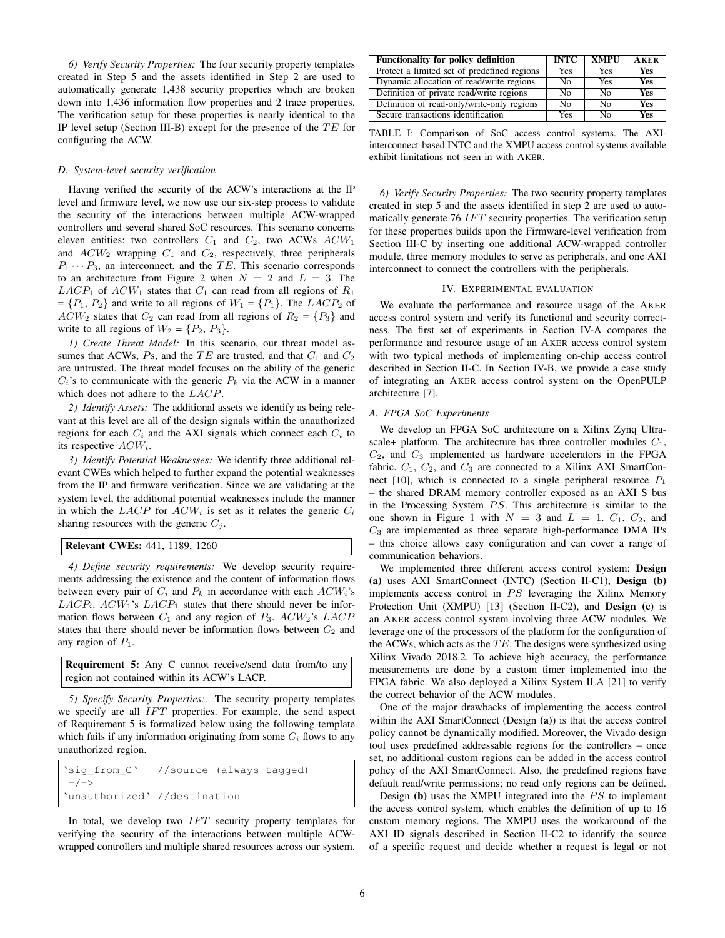*6) Verify Security Properties:* The four security property templates created in Step 5 and the assets identified in Step 2 are used to automatically generate 1,438 security properties which are broken down into 1,436 information flow properties and 2 trace properties. The verification setup for these properties is nearly identical to the IP level setup (Section III-B) except for the presence of the  $TE$  for configuring the ACW.

## *D. System-level security verification*

Having verified the security of the ACW's interactions at the IP level and firmware level, we now use our six-step process to validate the security of the interactions between multiple ACW-wrapped controllers and several shared SoC resources. This scenario concerns eleven entities: two controllers  $C_1$  and  $C_2$ , two ACWs  $ACW_1$ and  $ACW_2$  wrapping  $C_1$  and  $C_2$ , respectively, three peripherals  $P_1 \cdots P_3$ , an interconnect, and the TE. This scenario corresponds to an architecture from Figure 2 when  $N = 2$  and  $L = 3$ . The  $LACP_1$  of  $ACW_1$  states that  $C_1$  can read from all regions of  $R_1$  $= \{P_1, P_2\}$  and write to all regions of  $W_1 = \{P_1\}$ . The  $LACP_2$  of  $ACW_2$  states that  $C_2$  can read from all regions of  $R_2 = \{P_3\}$  and write to all regions of  $W_2 = \{P_2, P_3\}.$ 

*1) Create Threat Model:* In this scenario, our threat model assumes that ACWs,  $Ps$ , and the TE are trusted, and that  $C_1$  and  $C_2$ are untrusted. The threat model focuses on the ability of the generic  $C_i$ 's to communicate with the generic  $P_k$  via the ACW in a manner which does not adhere to the *LACP*.

*2) Identify Assets:* The additional assets we identify as being relevant at this level are all of the design signals within the unauthorized regions for each  $C_i$  and the AXI signals which connect each  $C_i$  to its respective  $ACW_i$ .

*3) Identify Potential Weaknesses:* We identify three additional relevant CWEs which helped to further expand the potential weaknesses from the IP and firmware verification. Since we are validating at the system level, the additional potential weaknesses include the manner in which the  $LACP$  for  $ACW_i$  is set as it relates the generic  $C_i$ sharing resources with the generic  $C_j$ .

```
Relevant CWEs: 441, 1189, 1260
```
*4) Define security requirements:* We develop security requirements addressing the existence and the content of information flows between every pair of  $C_i$  and  $P_k$  in accordance with each  $ACW_i$ 's  $LACP_i$ .  $ACW_1$ 's  $LACP_1$  states that there should never be information flows between  $C_1$  and any region of  $P_3$ .  $ACW_2$ 's  $LACP$ states that there should never be information flows between  $C_2$  and any region of  $P_1$ .

Requirement 5: Any C cannot receive/send data from/to any region not contained within its ACW's LACP.

*5) Specify Security Properties::* The security property templates we specify are all  $IFT$  properties. For example, the send aspect of Requirement 5 is formalized below using the following template which fails if any information originating from some  $C_i$  flows to any unauthorized region.

| 'sig_from_C' //source (always tagged) |  |  |  |
|---------------------------------------|--|--|--|
| $=$ / $=$ >                           |  |  |  |
| 'unauthorized' //destination          |  |  |  |

In total, we develop two  $IFT$  security property templates for verifying the security of the interactions between multiple ACWwrapped controllers and multiple shared resources across our system.

| <b>Functionality for policy definition</b>  | <b>INTC</b> | <b>XMPU</b>    | <b>AKER</b> |
|---------------------------------------------|-------------|----------------|-------------|
| Protect a limited set of predefined regions | Yes         | Yes            | Yes         |
| Dynamic allocation of read/write regions    | No          | <b>Yes</b>     | Yes         |
| Definition of private read/write regions    | No          | N <sub>0</sub> | Yes         |
| Definition of read-only/write-only regions  | Nο          | Nο             | Yes         |
| Secure transactions identification          | Yes         | N٥             | Yes         |

TABLE I: Comparison of SoC access control systems. The AXIinterconnect-based INTC and the XMPU access control systems available exhibit limitations not seen in with AKER.

*6) Verify Security Properties:* The two security property templates created in step 5 and the assets identified in step 2 are used to automatically generate  $76 IFT$  security properties. The verification setup for these properties builds upon the Firmware-level verification from Section III-C by inserting one additional ACW-wrapped controller module, three memory modules to serve as peripherals, and one AXI interconnect to connect the controllers with the peripherals.

#### IV. EXPERIMENTAL EVALUATION

We evaluate the performance and resource usage of the AKER access control system and verify its functional and security correctness. The first set of experiments in Section IV-A compares the performance and resource usage of an AKER access control system with two typical methods of implementing on-chip access control described in Section II-C. In Section IV-B, we provide a case study of integrating an AKER access control system on the OpenPULP architecture [7].

## *A. FPGA SoC Experiments*

We develop an FPGA SoC architecture on a Xilinx Zynq Ultrascale+ platform. The architecture has three controller modules  $C_1$ ,  $C_2$ , and  $C_3$  implemented as hardware accelerators in the FPGA fabric.  $C_1$ ,  $C_2$ , and  $C_3$  are connected to a Xilinx AXI SmartConnect [10], which is connected to a single peripheral resource  $P_1$ – the shared DRAM memory controller exposed as an AXI S bus in the Processing System  $PS$ . This architecture is similar to the one shown in Figure 1 with  $N = 3$  and  $L = 1$ .  $C_1$ ,  $C_2$ , and  $C_3$  are implemented as three separate high-performance DMA IPs – this choice allows easy configuration and can cover a range of communication behaviors.

We implemented three different access control system: Design (a) uses AXI SmartConnect (INTC) (Section II-C1), Design (b) implements access control in  $PS$  leveraging the Xilinx Memory Protection Unit (XMPU) [13] (Section II-C2), and Design (c) is an AKER access control system involving three ACW modules. We leverage one of the processors of the platform for the configuration of the ACWs, which acts as the  $TE$ . The designs were synthesized using Xilinx Vivado 2018.2. To achieve high accuracy, the performance measurements are done by a custom timer implemented into the FPGA fabric. We also deployed a Xilinx System ILA [21] to verify the correct behavior of the ACW modules.

One of the major drawbacks of implementing the access control within the AXI SmartConnect (Design (a)) is that the access control policy cannot be dynamically modified. Moreover, the Vivado design tool uses predefined addressable regions for the controllers – once set, no additional custom regions can be added in the access control policy of the AXI SmartConnect. Also, the predefined regions have default read/write permissions; no read only regions can be defined.

Design (b) uses the XMPU integrated into the  $PS$  to implement the access control system, which enables the definition of up to 16 custom memory regions. The XMPU uses the workaround of the AXI ID signals described in Section II-C2 to identify the source of a specific request and decide whether a request is legal or not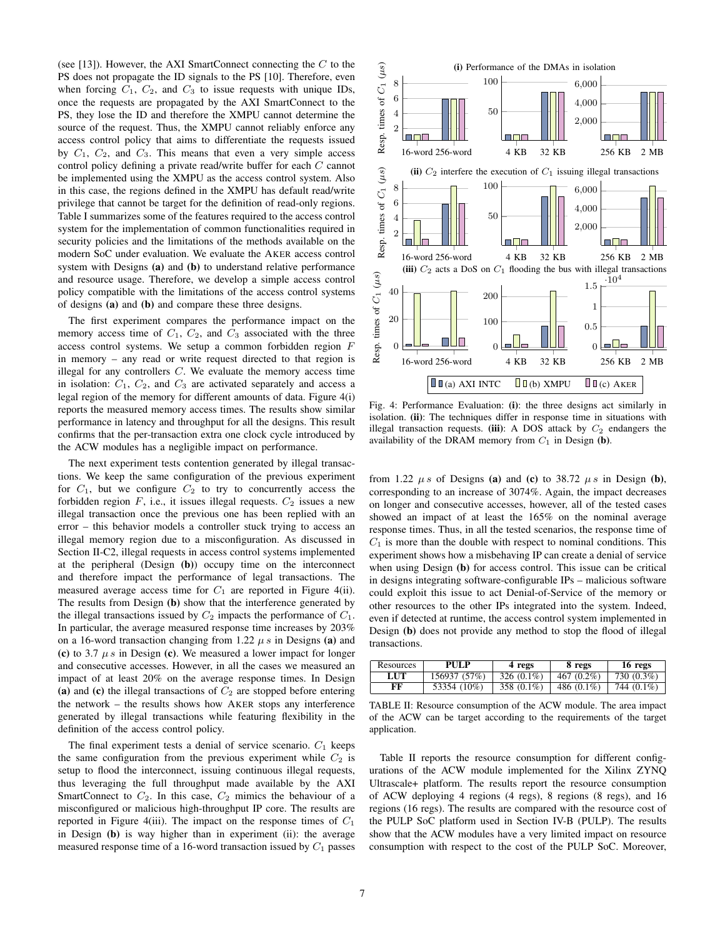(see [13]). However, the AXI SmartConnect connecting the  $C$  to the PS does not propagate the ID signals to the PS [10]. Therefore, even when forcing  $C_1$ ,  $C_2$ , and  $C_3$  to issue requests with unique IDs, once the requests are propagated by the AXI SmartConnect to the PS, they lose the ID and therefore the XMPU cannot determine the source of the request. Thus, the XMPU cannot reliably enforce any access control policy that aims to differentiate the requests issued by  $C_1$ ,  $C_2$ , and  $C_3$ . This means that even a very simple access control policy defining a private read/write buffer for each C cannot be implemented using the XMPU as the access control system. Also in this case, the regions defined in the XMPU has default read/write privilege that cannot be target for the definition of read-only regions. Table I summarizes some of the features required to the access control system for the implementation of common functionalities required in security policies and the limitations of the methods available on the modern SoC under evaluation. We evaluate the AKER access control system with Designs (a) and (b) to understand relative performance and resource usage. Therefore, we develop a simple access control policy compatible with the limitations of the access control systems of designs (a) and (b) and compare these three designs.

The first experiment compares the performance impact on the memory access time of  $C_1$ ,  $C_2$ , and  $C_3$  associated with the three access control systems. We setup a common forbidden region F in memory – any read or write request directed to that region is illegal for any controllers  $C$ . We evaluate the memory access time in isolation:  $C_1$ ,  $C_2$ , and  $C_3$  are activated separately and access a legal region of the memory for different amounts of data. Figure 4(i) reports the measured memory access times. The results show similar performance in latency and throughput for all the designs. This result confirms that the per-transaction extra one clock cycle introduced by the ACW modules has a negligible impact on performance.

The next experiment tests contention generated by illegal transactions. We keep the same configuration of the previous experiment for  $C_1$ , but we configure  $C_2$  to try to concurrently access the forbidden region  $F$ , i.e., it issues illegal requests.  $C_2$  issues a new illegal transaction once the previous one has been replied with an error – this behavior models a controller stuck trying to access an illegal memory region due to a misconfiguration. As discussed in Section II-C2, illegal requests in access control systems implemented at the peripheral (Design (b)) occupy time on the interconnect and therefore impact the performance of legal transactions. The measured average access time for  $C_1$  are reported in Figure 4(ii). The results from Design (b) show that the interference generated by the illegal transactions issued by  $C_2$  impacts the performance of  $C_1$ . In particular, the average measured response time increases by 203% on a 16-word transaction changing from 1.22  $\mu$  s in Designs (a) and (c) to 3.7  $\mu$  s in Design (c). We measured a lower impact for longer and consecutive accesses. However, in all the cases we measured an impact of at least 20% on the average response times. In Design (a) and (c) the illegal transactions of  $C_2$  are stopped before entering the network – the results shows how AKER stops any interference generated by illegal transactions while featuring flexibility in the definition of the access control policy.

The final experiment tests a denial of service scenario.  $C_1$  keeps the same configuration from the previous experiment while  $C_2$  is setup to flood the interconnect, issuing continuous illegal requests, thus leveraging the full throughput made available by the AXI SmartConnect to  $C_2$ . In this case,  $C_2$  mimics the behaviour of a misconfigured or malicious high-throughput IP core. The results are reported in Figure 4(iii). The impact on the response times of  $C_1$ in Design (b) is way higher than in experiment (ii): the average measured response time of a 16-word transaction issued by  $C_1$  passes



Fig. 4: Performance Evaluation: (i): the three designs act similarly in isolation. (ii): The techniques differ in response time in situations with illegal transaction requests. (iii): A DOS attack by  $C_2$  endangers the availability of the DRAM memory from  $C_1$  in Design (b).

from 1.22  $\mu s$  of Designs (a) and (c) to 38.72  $\mu s$  in Design (b), corresponding to an increase of 3074%. Again, the impact decreases on longer and consecutive accesses, however, all of the tested cases showed an impact of at least the 165% on the nominal average response times. Thus, in all the tested scenarios, the response time of  $C_1$  is more than the double with respect to nominal conditions. This experiment shows how a misbehaving IP can create a denial of service when using Design (b) for access control. This issue can be critical in designs integrating software-configurable IPs – malicious software could exploit this issue to act Denial-of-Service of the memory or other resources to the other IPs integrated into the system. Indeed, even if detected at runtime, the access control system implemented in Design (b) does not provide any method to stop the flood of illegal transactions.

| Resources  | PULP         | 4 regs        | 8 regs        | 16 regs    |
|------------|--------------|---------------|---------------|------------|
| <b>LUT</b> | 156937 (57%) | 326 $(0.1\%)$ | 467 $(0.2\%)$ | 730 (0.3%) |
| FF         | 53354 (10%)  | 358 (0.1%)    | 486 $(0.1\%)$ | 744 (0.1%) |

TABLE II: Resource consumption of the ACW module. The area impact of the ACW can be target according to the requirements of the target application.

Table II reports the resource consumption for different configurations of the ACW module implemented for the Xilinx ZYNQ Ultrascale+ platform. The results report the resource consumption of ACW deploying 4 regions (4 regs), 8 regions (8 regs), and 16 regions (16 regs). The results are compared with the resource cost of the PULP SoC platform used in Section IV-B (PULP). The results show that the ACW modules have a very limited impact on resource consumption with respect to the cost of the PULP SoC. Moreover,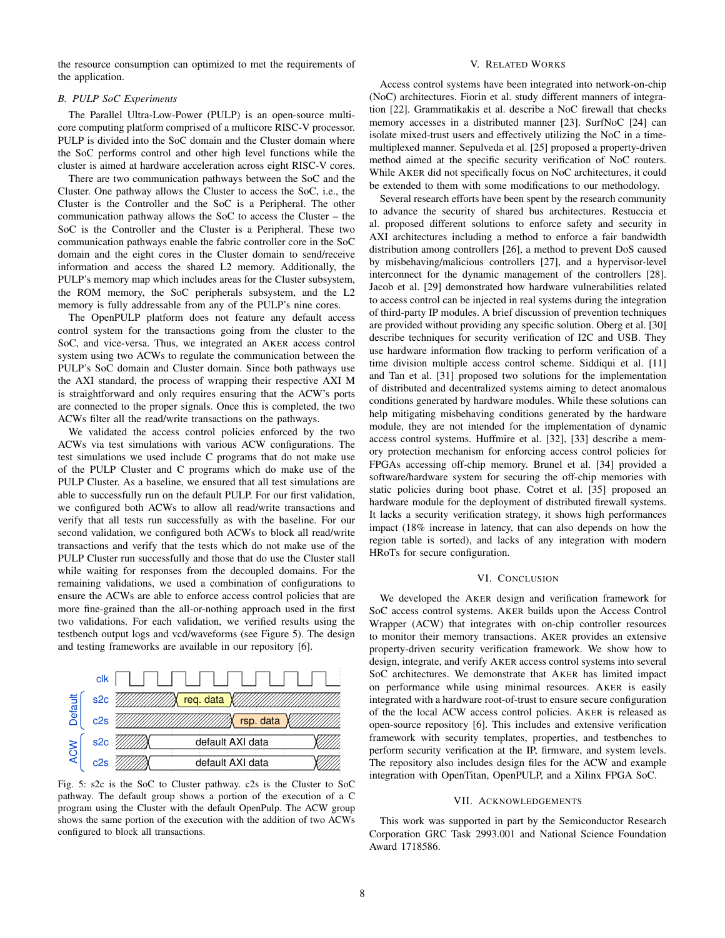the resource consumption can optimized to met the requirements of the application.

# *B. PULP SoC Experiments*

The Parallel Ultra-Low-Power (PULP) is an open-source multicore computing platform comprised of a multicore RISC-V processor. PULP is divided into the SoC domain and the Cluster domain where the SoC performs control and other high level functions while the cluster is aimed at hardware acceleration across eight RISC-V cores.

There are two communication pathways between the SoC and the Cluster. One pathway allows the Cluster to access the SoC, i.e., the Cluster is the Controller and the SoC is a Peripheral. The other communication pathway allows the SoC to access the Cluster – the SoC is the Controller and the Cluster is a Peripheral. These two communication pathways enable the fabric controller core in the SoC domain and the eight cores in the Cluster domain to send/receive information and access the shared L2 memory. Additionally, the PULP's memory map which includes areas for the Cluster subsystem, the ROM memory, the SoC peripherals subsystem, and the L2 memory is fully addressable from any of the PULP's nine cores.

The OpenPULP platform does not feature any default access control system for the transactions going from the cluster to the SoC, and vice-versa. Thus, we integrated an AKER access control system using two ACWs to regulate the communication between the PULP's SoC domain and Cluster domain. Since both pathways use the AXI standard, the process of wrapping their respective AXI M is straightforward and only requires ensuring that the ACW's ports are connected to the proper signals. Once this is completed, the two ACWs filter all the read/write transactions on the pathways.

We validated the access control policies enforced by the two ACWs via test simulations with various ACW configurations. The test simulations we used include C programs that do not make use of the PULP Cluster and C programs which do make use of the PULP Cluster. As a baseline, we ensured that all test simulations are able to successfully run on the default PULP. For our first validation, we configured both ACWs to allow all read/write transactions and verify that all tests run successfully as with the baseline. For our second validation, we configured both ACWs to block all read/write transactions and verify that the tests which do not make use of the PULP Cluster run successfully and those that do use the Cluster stall while waiting for responses from the decoupled domains. For the remaining validations, we used a combination of configurations to ensure the ACWs are able to enforce access control policies that are more fine-grained than the all-or-nothing approach used in the first two validations. For each validation, we verified results using the testbench output logs and vcd/waveforms (see Figure 5). The design and testing frameworks are available in our repository [6].



Fig. 5: s2c is the SoC to Cluster pathway. c2s is the Cluster to SoC pathway. The default group shows a portion of the execution of a C program using the Cluster with the default OpenPulp. The ACW group shows the same portion of the execution with the addition of two ACWs configured to block all transactions.

## V. RELATED WORKS

Access control systems have been integrated into network-on-chip (NoC) architectures. Fiorin et al. study different manners of integration [22]. Grammatikakis et al. describe a NoC firewall that checks memory accesses in a distributed manner [23]. SurfNoC [24] can isolate mixed-trust users and effectively utilizing the NoC in a timemultiplexed manner. Sepulveda et al. [25] proposed a property-driven method aimed at the specific security verification of NoC routers. While AKER did not specifically focus on NoC architectures, it could be extended to them with some modifications to our methodology.

Several research efforts have been spent by the research community to advance the security of shared bus architectures. Restuccia et al. proposed different solutions to enforce safety and security in AXI architectures including a method to enforce a fair bandwidth distribution among controllers [26], a method to prevent DoS caused by misbehaving/malicious controllers [27], and a hypervisor-level interconnect for the dynamic management of the controllers [28]. Jacob et al. [29] demonstrated how hardware vulnerabilities related to access control can be injected in real systems during the integration of third-party IP modules. A brief discussion of prevention techniques are provided without providing any specific solution. Oberg et al. [30] describe techniques for security verification of I2C and USB. They use hardware information flow tracking to perform verification of a time division multiple access control scheme. Siddiqui et al. [11] and Tan et al. [31] proposed two solutions for the implementation of distributed and decentralized systems aiming to detect anomalous conditions generated by hardware modules. While these solutions can help mitigating misbehaving conditions generated by the hardware module, they are not intended for the implementation of dynamic access control systems. Huffmire et al. [32], [33] describe a memory protection mechanism for enforcing access control policies for FPGAs accessing off-chip memory. Brunel et al. [34] provided a software/hardware system for securing the off-chip memories with static policies during boot phase. Cotret et al. [35] proposed an hardware module for the deployment of distributed firewall systems. It lacks a security verification strategy, it shows high performances impact (18% increase in latency, that can also depends on how the region table is sorted), and lacks of any integration with modern HRoTs for secure configuration.

# VI. CONCLUSION

We developed the AKER design and verification framework for SoC access control systems. AKER builds upon the Access Control Wrapper (ACW) that integrates with on-chip controller resources to monitor their memory transactions. AKER provides an extensive property-driven security verification framework. We show how to design, integrate, and verify AKER access control systems into several SoC architectures. We demonstrate that AKER has limited impact on performance while using minimal resources. AKER is easily integrated with a hardware root-of-trust to ensure secure configuration of the the local ACW access control policies. AKER is released as open-source repository [6]. This includes and extensive verification framework with security templates, properties, and testbenches to perform security verification at the IP, firmware, and system levels. The repository also includes design files for the ACW and example integration with OpenTitan, OpenPULP, and a Xilinx FPGA SoC.

#### VII. ACKNOWLEDGEMENTS

This work was supported in part by the Semiconductor Research Corporation GRC Task 2993.001 and National Science Foundation Award 1718586.